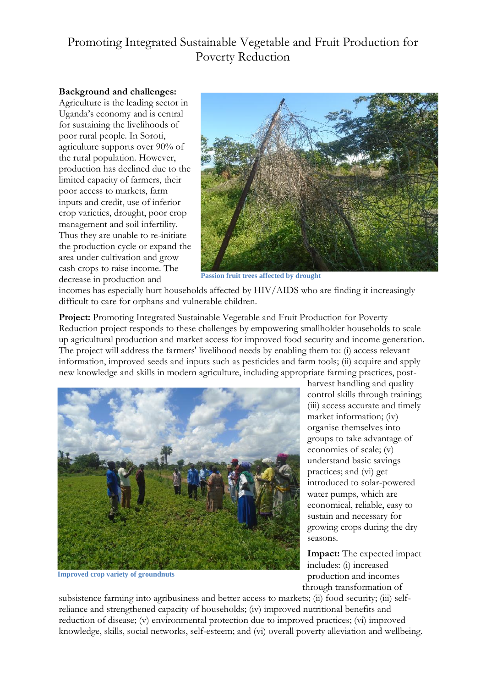## Promoting Integrated Sustainable Vegetable and Fruit Production for Poverty Reduction

## **Background and challenges:**

Agriculture is the leading sector in Uganda's economy and is central for sustaining the livelihoods of poor rural people. In Soroti, agriculture supports over 90% of the rural population. However, production has declined due to the limited capacity of farmers, their poor access to markets, farm inputs and credit, use of inferior crop varieties, drought, poor crop management and soil infertility. Thus they are unable to re-initiate the production cycle or expand the area under cultivation and grow cash crops to raise income. The decrease in production and



**Passion fruit trees affected by drought**

incomes has especially hurt households affected by HIV/AIDS who are finding it increasingly difficult to care for orphans and vulnerable children.

**Project:** Promoting Integrated Sustainable Vegetable and Fruit Production for Poverty Reduction project responds to these challenges by empowering smallholder households to scale up agricultural production and market access for improved food security and income generation. The project will address the farmers' livelihood needs by enabling them to: (i) access relevant information, improved seeds and inputs such as pesticides and farm tools; (ii) acquire and apply new knowledge and skills in modern agriculture, including appropriate farming practices, post-



**Improved crop variety of groundnuts**

harvest handling and quality control skills through training; (iii) access accurate and timely market information; (iv) organise themselves into groups to take advantage of economies of scale; (v) understand basic savings practices; and (vi) get introduced to solar-powered water pumps, which are economical, reliable, easy to sustain and necessary for growing crops during the dry seasons.

**Impact:** The expected impact includes: (i) increased production and incomes through transformation of

subsistence farming into agribusiness and better access to markets; (ii) food security; (iii) self reliance and strengthened capacity of households; (iv) improved nutritional benefits and reduction of disease; (v) environmental protection due to improved practices; (vi) improved knowledge, skills, social networks, self-esteem; and (vi) overall poverty alleviation and wellbeing.